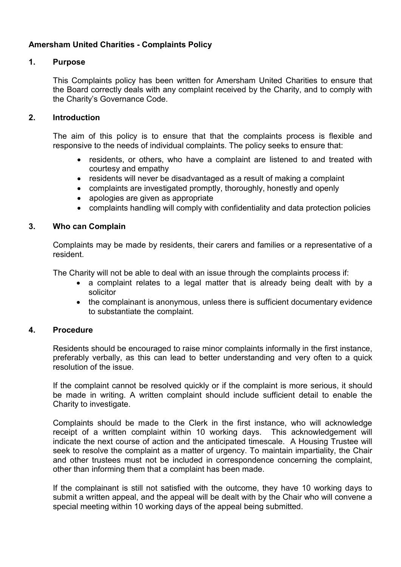# Amersham United Charities - Complaints Policy

## 1. Purpose

This Complaints policy has been written for Amersham United Charities to ensure that the Board correctly deals with any complaint received by the Charity, and to comply with the Charity's Governance Code.

## 2. Introduction

The aim of this policy is to ensure that that the complaints process is flexible and responsive to the needs of individual complaints. The policy seeks to ensure that:

- residents, or others, who have a complaint are listened to and treated with courtesy and empathy
- residents will never be disadvantaged as a result of making a complaint
- complaints are investigated promptly, thoroughly, honestly and openly
- apologies are given as appropriate
- complaints handling will comply with confidentiality and data protection policies

## 3. Who can Complain

Complaints may be made by residents, their carers and families or a representative of a resident.

The Charity will not be able to deal with an issue through the complaints process if:

- a complaint relates to a legal matter that is already being dealt with by a solicitor
- the complainant is anonymous, unless there is sufficient documentary evidence to substantiate the complaint.

## 4. Procedure

Residents should be encouraged to raise minor complaints informally in the first instance, preferably verbally, as this can lead to better understanding and very often to a quick resolution of the issue.

If the complaint cannot be resolved quickly or if the complaint is more serious, it should be made in writing. A written complaint should include sufficient detail to enable the Charity to investigate.

Complaints should be made to the Clerk in the first instance, who will acknowledge receipt of a written complaint within 10 working days. This acknowledgement will indicate the next course of action and the anticipated timescale. A Housing Trustee will seek to resolve the complaint as a matter of urgency. To maintain impartiality, the Chair and other trustees must not be included in correspondence concerning the complaint, other than informing them that a complaint has been made.

If the complainant is still not satisfied with the outcome, they have 10 working days to submit a written appeal, and the appeal will be dealt with by the Chair who will convene a special meeting within 10 working days of the appeal being submitted.